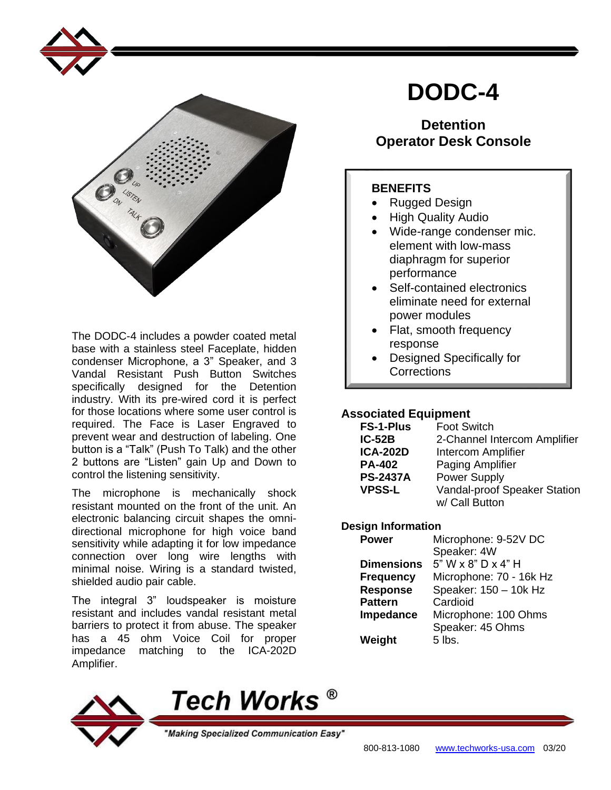

The DODC-4 includes a powder coated metal base with a stainless steel Faceplate, hidden condenser Microphone, a 3" Speaker, and 3 Vandal Resistant Push Button Switches specifically designed for the Detention industry. With its pre-wired cord it is perfect for those locations where some user control is required. The Face is Laser Engraved to prevent wear and destruction of labeling. One button is a "Talk" (Push To Talk) and the other 2 buttons are "Listen" gain Up and Down to control the listening sensitivity.

The microphone is mechanically shock resistant mounted on the front of the unit. An electronic balancing circuit shapes the omnidirectional microphone for high voice band sensitivity while adapting it for low impedance connection over long wire lengths with minimal noise. Wiring is a standard twisted, shielded audio pair cable.

The integral 3" loudspeaker is moisture resistant and includes vandal resistant metal barriers to protect it from abuse. The speaker has a 45 ohm Voice Coil for proper impedance matching to the ICA-202D Amplifier.

# **DODC-4**

## **Detention Operator Desk Console**

### **BENEFITS**

- Rugged Design
- High Quality Audio
- Wide-range condenser mic. element with low-mass diaphragm for superior performance
- Self-contained electronics eliminate need for external power modules
- Flat, smooth frequency response
- Designed Specifically for **Corrections**

#### **Associated Equipment**

| <b>FS-1-Plus</b> | <b>Foot Switch</b>           |
|------------------|------------------------------|
| $IC-52B$         | 2-Channel Intercom Amplifier |
| <b>ICA-202D</b>  | Intercom Amplifier           |
| <b>PA-402</b>    | Paging Amplifier             |
| <b>PS-2437A</b>  | <b>Power Supply</b>          |
| <b>VPSS-L</b>    | Vandal-proof Speaker Station |
|                  | w/ Call Button               |

#### **Design Information**

| <b>Power</b>      | Microphone: 9-52V DC     |
|-------------------|--------------------------|
|                   | Speaker: 4W              |
| <b>Dimensions</b> | $5"$ W x $8"$ D x $4"$ H |
| <b>Frequency</b>  | Microphone: 70 - 16k Hz  |
| <b>Response</b>   | Speaker: 150 - 10k Hz    |
| <b>Pattern</b>    | Cardioid                 |
| Impedance         | Microphone: 100 Ohms     |
|                   | Speaker: 45 Ohms         |
| Weight            | 5 lbs.                   |
|                   |                          |



'Making Specialized Communication Easy"